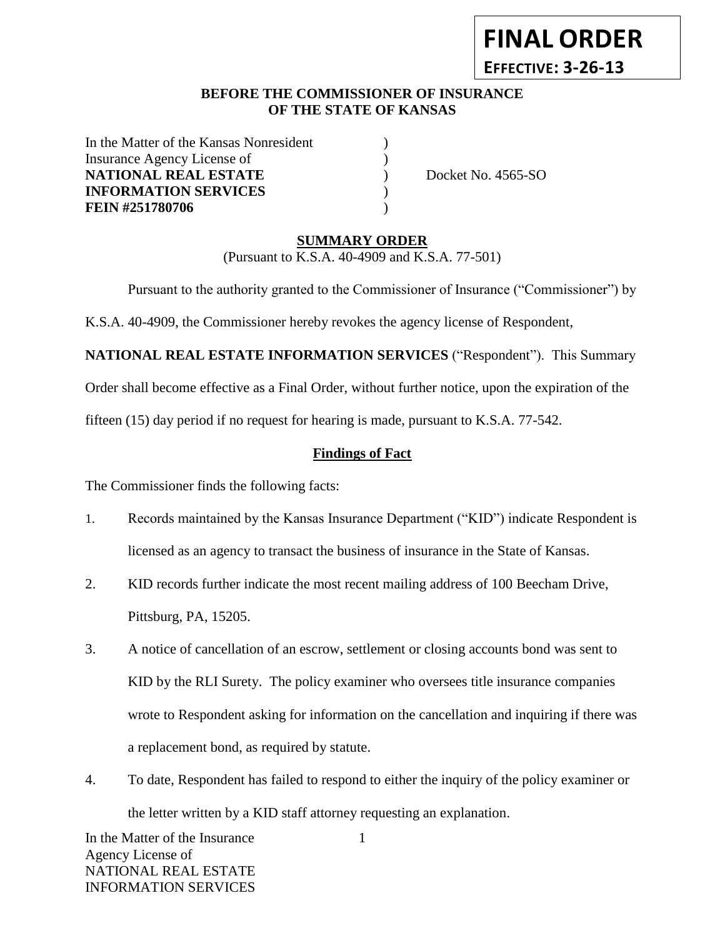# **FINAL ORDER**

**EFFECTIVE: 3-26-13**

#### **BEFORE THE COMMISSIONER OF INSURANCE OF THE STATE OF KANSAS**

In the Matter of the Kansas Nonresident Insurance Agency License of  $\qquad \qquad$  ) **NATIONAL REAL ESTATE** (a) Docket No. 4565-SO **INFORMATION SERVICES** ) **FEIN #251780706** )

#### **SUMMARY ORDER**

(Pursuant to K.S.A. 40-4909 and K.S.A. 77-501)

Pursuant to the authority granted to the Commissioner of Insurance ("Commissioner") by

K.S.A. 40-4909, the Commissioner hereby revokes the agency license of Respondent,

**NATIONAL REAL ESTATE INFORMATION SERVICES** ("Respondent"). This Summary

Order shall become effective as a Final Order, without further notice, upon the expiration of the

fifteen (15) day period if no request for hearing is made, pursuant to K.S.A. 77-542.

#### **Findings of Fact**

The Commissioner finds the following facts:

- 1. Records maintained by the Kansas Insurance Department ("KID") indicate Respondent is licensed as an agency to transact the business of insurance in the State of Kansas.
- 2. KID records further indicate the most recent mailing address of 100 Beecham Drive, Pittsburg, PA, 15205.
- 3. A notice of cancellation of an escrow, settlement or closing accounts bond was sent to KID by the RLI Surety. The policy examiner who oversees title insurance companies wrote to Respondent asking for information on the cancellation and inquiring if there was a replacement bond, as required by statute.
- 4. To date, Respondent has failed to respond to either the inquiry of the policy examiner or the letter written by a KID staff attorney requesting an explanation.

In the Matter of the Insurance Agency License of NATIONAL REAL ESTATE INFORMATION SERVICES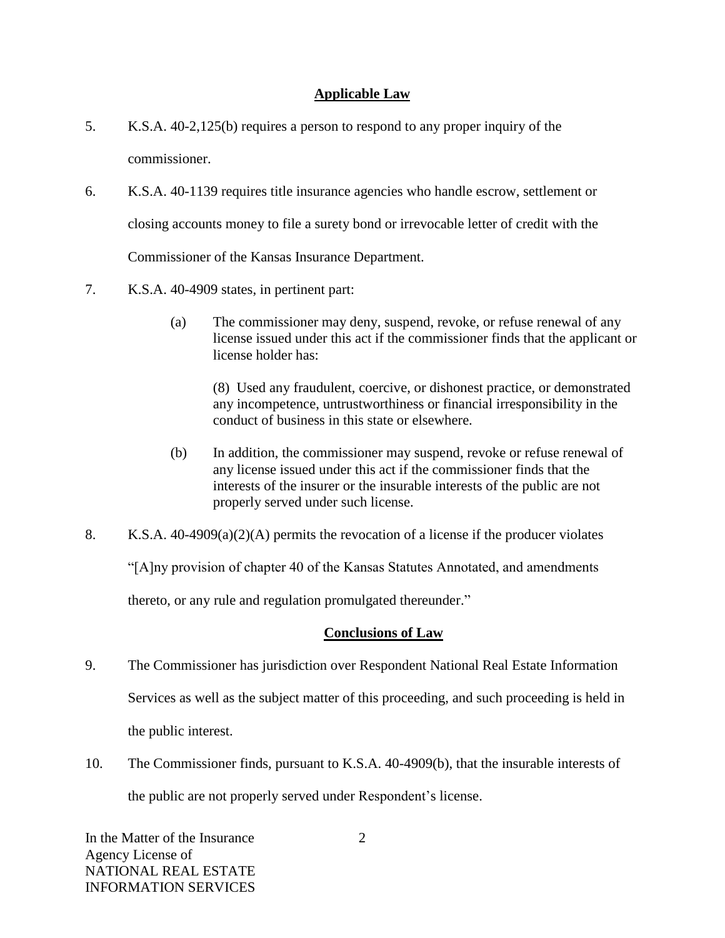## **Applicable Law**

- 5. K.S.A. 40-2,125(b) requires a person to respond to any proper inquiry of the commissioner.
- 6. K.S.A. 40-1139 requires title insurance agencies who handle escrow, settlement or closing accounts money to file a surety bond or irrevocable letter of credit with the Commissioner of the Kansas Insurance Department.
- 7. K.S.A. 40-4909 states, in pertinent part:
	- (a) The commissioner may deny, suspend, revoke, or refuse renewal of any license issued under this act if the commissioner finds that the applicant or license holder has:

(8) Used any fraudulent, coercive, or dishonest practice, or demonstrated any incompetence, untrustworthiness or financial irresponsibility in the conduct of business in this state or elsewhere.

- (b) In addition, the commissioner may suspend, revoke or refuse renewal of any license issued under this act if the commissioner finds that the interests of the insurer or the insurable interests of the public are not properly served under such license.
- 8. K.S.A. 40-4909(a)(2)(A) permits the revocation of a license if the producer violates

"[A]ny provision of chapter 40 of the Kansas Statutes Annotated, and amendments

thereto, or any rule and regulation promulgated thereunder."

## **Conclusions of Law**

- 9. The Commissioner has jurisdiction over Respondent National Real Estate Information Services as well as the subject matter of this proceeding, and such proceeding is held in the public interest.
- 10. The Commissioner finds, pursuant to K.S.A. 40-4909(b), that the insurable interests of the public are not properly served under Respondent's license.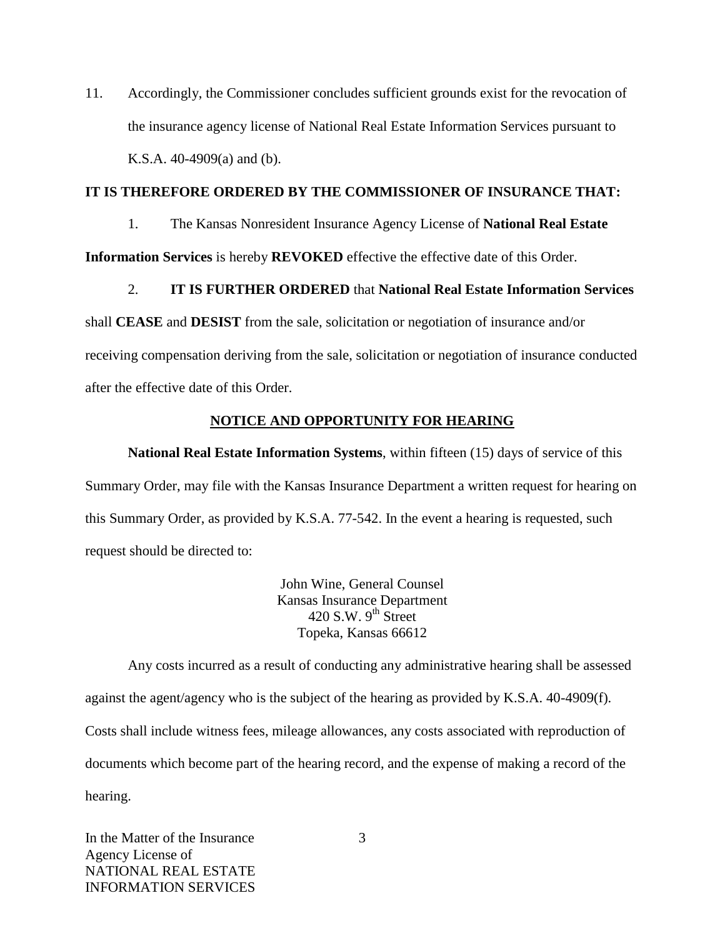11. Accordingly, the Commissioner concludes sufficient grounds exist for the revocation of the insurance agency license of National Real Estate Information Services pursuant to K.S.A. 40-4909(a) and (b).

#### **IT IS THEREFORE ORDERED BY THE COMMISSIONER OF INSURANCE THAT:**

1. The Kansas Nonresident Insurance Agency License of **National Real Estate** 

**Information Services** is hereby **REVOKED** effective the effective date of this Order.

## 2. **IT IS FURTHER ORDERED** that **National Real Estate Information Services**

shall **CEASE** and **DESIST** from the sale, solicitation or negotiation of insurance and/or receiving compensation deriving from the sale, solicitation or negotiation of insurance conducted after the effective date of this Order.

# **NOTICE AND OPPORTUNITY FOR HEARING**

**National Real Estate Information Systems**, within fifteen (15) days of service of this Summary Order, may file with the Kansas Insurance Department a written request for hearing on this Summary Order, as provided by K.S.A. 77-542. In the event a hearing is requested, such request should be directed to:

> John Wine, General Counsel Kansas Insurance Department 420 S.W.  $9<sup>th</sup>$  Street Topeka, Kansas 66612

Any costs incurred as a result of conducting any administrative hearing shall be assessed against the agent/agency who is the subject of the hearing as provided by K.S.A. 40-4909(f). Costs shall include witness fees, mileage allowances, any costs associated with reproduction of documents which become part of the hearing record, and the expense of making a record of the hearing.

In the Matter of the Insurance Agency License of NATIONAL REAL ESTATE INFORMATION SERVICES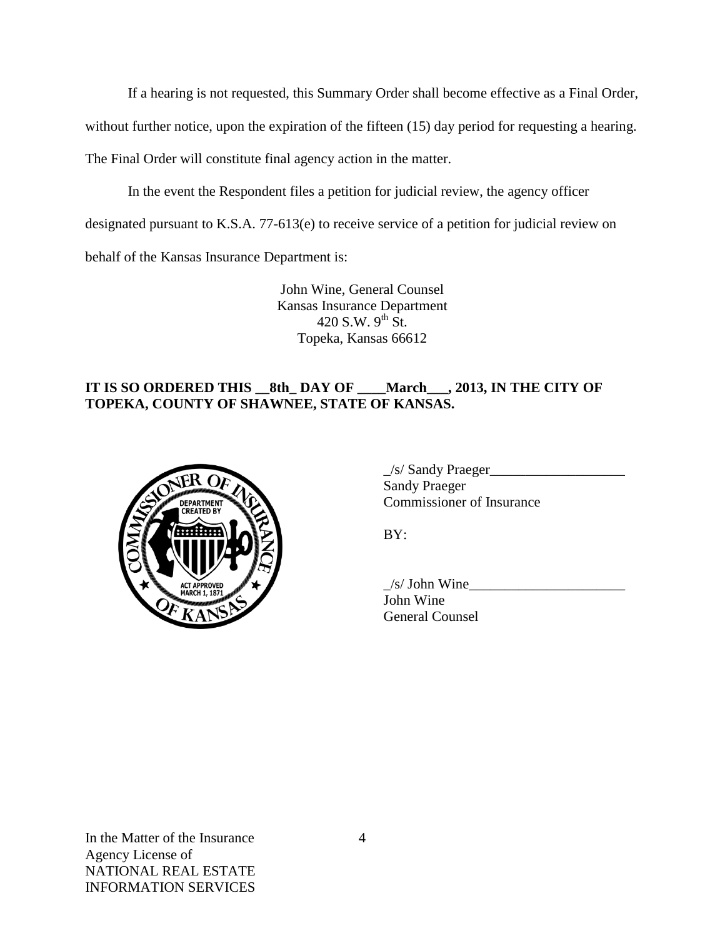If a hearing is not requested, this Summary Order shall become effective as a Final Order,

without further notice, upon the expiration of the fifteen (15) day period for requesting a hearing.

The Final Order will constitute final agency action in the matter.

In the event the Respondent files a petition for judicial review, the agency officer

designated pursuant to K.S.A. 77-613(e) to receive service of a petition for judicial review on

behalf of the Kansas Insurance Department is:

John Wine, General Counsel Kansas Insurance Department 420 S.W.  $9^{th}$  St. Topeka, Kansas 66612

# **IT IS SO ORDERED THIS \_\_8th\_ DAY OF \_\_\_\_March\_\_\_, 2013, IN THE CITY OF TOPEKA, COUNTY OF SHAWNEE, STATE OF KANSAS.**



| $\angle$ s/ Sandy Praeger |  |
|---------------------------|--|
| <b>Sandy Praeger</b>      |  |
| Commissioner of Insurance |  |

BY:

 $/s/$  John Wine John Wine General Counsel

In the Matter of the Insurance Agency License of NATIONAL REAL ESTATE INFORMATION SERVICES